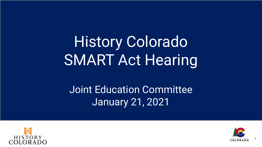# History Colorado SMART Act Hearing

Joint Education Committee January 21, 2021



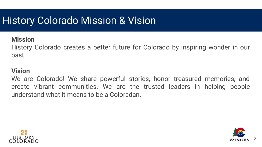### **History Colorado Mission & Vision**

### **Mission**

History Colorado creates a better future for Colorado by inspiring wonder in our past.

#### **Vision**

We are Colorado! We share powerful stories, honor treasured memories, and create vibrant communities. We are the trusted leaders in helping people understand what it means to be a Coloradan.



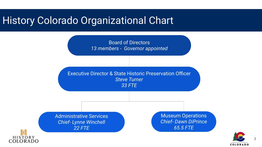### History Colorado Organizational Chart



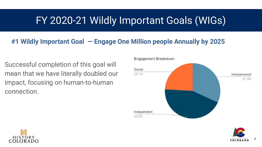### FY 2020-21 Wildly Important Goals (WIGs)

### **#1 Wildly Important Goal — Engage One Million people Annually by 2025**

Successful completion of this goal will mean that we have literally doubled our impact, focusing on human-to-human connection.







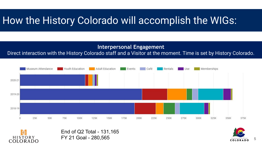## How the History Colorado will accomplish the WIGs:

#### **Interpersonal Engagement**

#### Direct interaction with the History Colorado staff and a Visitor at the moment. Time is set by History Colorado.



End of Q2 Total - 131,165 FY 21 Goal - 280,565

渋 **HISTORY** 

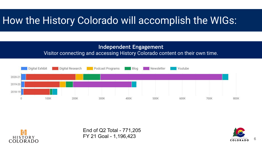# How the History Colorado will accomplish the WIGs:

#### **Independent Engagement** Visitor connecting and accessing History Colorado content on their own time.





End of Q2 Total - 771,205 FY 21 Goal - 1,196,423

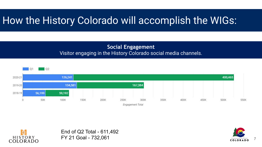# How the History Colorado will accomplish the WIGs:

#### **Social Engagement** Visitor engaging in the History Colorado social media channels.





End of Q2 Total - 611,492 FY 21 Goal - 732,061

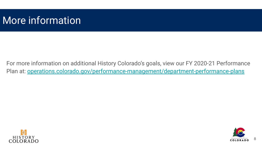### More information

For more information on additional History Colorado's goals, view our FY 2020-21 Performance Plan at: [operations.colorado.gov/performance-management/department-performance-plans](https://operations.colorado.gov/performance-management/department-performance-plans)



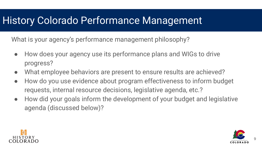### History Colorado Performance Management

What is your agency's performance management philosophy?

- How does your agency use its performance plans and WIGs to drive progress?
- What employee behaviors are present to ensure results are achieved?
- How do you use evidence about program effectiveness to inform budget requests, internal resource decisions, legislative agenda, etc.?
- How did your goals inform the development of your budget and legislative agenda (discussed below)?



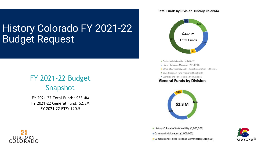## History Colorado FY 2021-22 Budget Request

### FY 2021-22 Budget Snapshot

FY 2021-22 Total Funds: \$33.4M FY 2021-22 General Fund: \$2.3M FY 2021-22 FTE: 120.5

#### **Total Funds by Division: History Colorado**



- Central Administration (6,785,472)
- History Colorado Museums (7,714,789)
- Office of Archeology and Historic Preservation (1,616,731)
- State Historical Fund Program (15,738,878)
- Cumbres and Toltec Railroad Commission

#### **General Funds by Division**



History Colorado Sustainability (1,000,000) Community Museums (1,000,000)





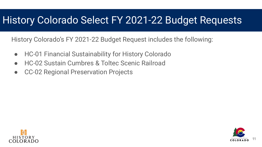### History Colorado Select FY 2021-22 Budget Requests

History Colorado's FY 2021-22 Budget Request includes the following:

- HC-01 Financial Sustainability for History Colorado
- HC-02 Sustain Cumbres & Toltec Scenic Railroad
- CC-02 Regional Preservation Projects



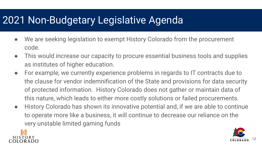### 2021 Non-Budgetary Legislative Agenda

- We are seeking legislation to exempt History Colorado from the procurement code.
- This would increase our capacity to procure essential business tools and supplies as institutes of higher education.
- For example, we currently experience problems in regards to IT contracts due to the clause for vendor indemnification of the State and provisions for data security of protected information. History Colorado does not gather or maintain data of this nature, which leads to either more costly solutions or failed procurements.
- History Colorado has shown its innovative potential and, if we are able to continue to operate more like a business, it will continue to decrease our reliance on the very unstable limited gaming funds



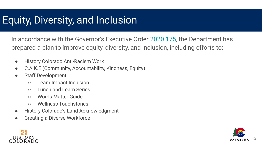### Equity, Diversity, and Inclusion

In accordance with the Governor's Executive Order [2020 175,](https://www.colorado.gov/governor/sites/default/files/inline-files/D%202020%20175%20Equity%2C%20Diversity%2C%20and%20Inclusion%20for%20the%20State%20of%20Colorado.pdf) the Department has prepared a plan to improve equity, diversity, and inclusion, including efforts to:

- History Colorado Anti-Racism Work
- C.A.K.E (Community, Accountability, Kindness, Equity)
- Staff Development
	- Team Impact Inclusion
	- Lunch and Learn Series
	- Words Matter Guide
	- Wellness Touchstones
- **History Colorado's Land Acknowledgment**
- **Creating a Diverse Workforce**